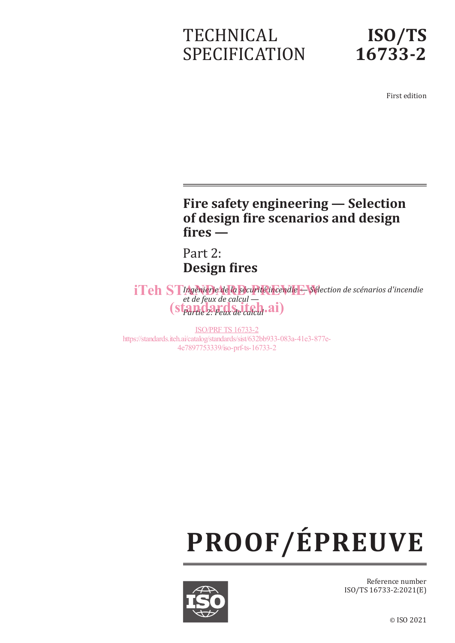# **TECHNICAL** SPECIFICATION



First edition

## **Fire safety engineering — Selection of design fire scenarios and design fires —**

Part 2: **Design fires**

*ITeh STIngénierie de la sécurité incendie*  $\div$  *Sélection de scénarios d'incendie et de feux de calcul — Partie 2: Feux de calcul* (standards.iteh.ai)

ISO/PRF TS 16733-2 https://standards.iteh.ai/catalog/standards/sist/632bb933-083a-41e3-877e-4e7897753339/iso-prf-ts-16733-2

# **PROOF/ÉPREUVE**



Reference number ISO/TS 16733-2:2021(E)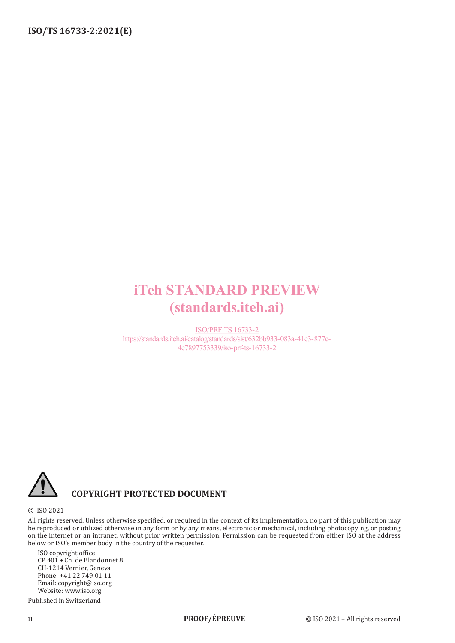## iTeh STANDARD PREVIEW (standards.iteh.ai)

ISO/PRF TS 16733-2 https://standards.iteh.ai/catalog/standards/sist/632bb933-083a-41e3-877e-4e7897753339/iso-prf-ts-16733-2



#### **COPYRIGHT PROTECTED DOCUMENT**

#### © ISO 2021

All rights reserved. Unless otherwise specified, or required in the context of its implementation, no part of this publication may be reproduced or utilized otherwise in any form or by any means, electronic or mechanical, including photocopying, or posting on the internet or an intranet, without prior written permission. Permission can be requested from either ISO at the address below or ISO's member body in the country of the requester.

ISO copyright office CP 401 • Ch. de Blandonnet 8 CH-1214 Vernier, Geneva Phone: +41 22 749 01 11 Email: copyright@iso.org Website: www.iso.org

Published in Switzerland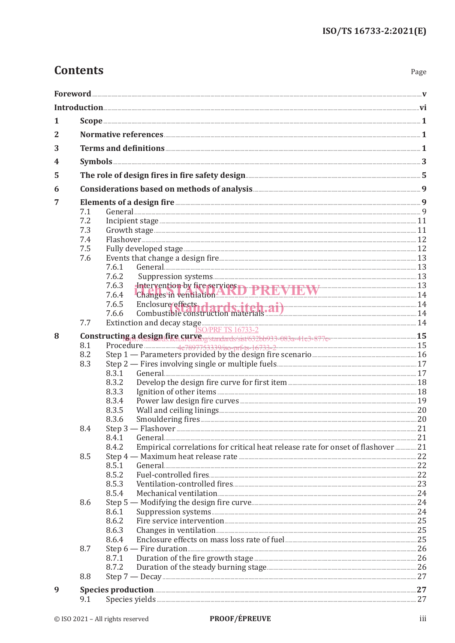Page

## **Contents**

| 1              |     |                                                                                                                                                                                                                                                  |  |
|----------------|-----|--------------------------------------------------------------------------------------------------------------------------------------------------------------------------------------------------------------------------------------------------|--|
| $\overline{2}$ |     |                                                                                                                                                                                                                                                  |  |
|                |     |                                                                                                                                                                                                                                                  |  |
| 3              |     |                                                                                                                                                                                                                                                  |  |
| 4              |     | Symbols 2008 and 2008 and 2008 and 2008 and 2008 and 2008 and 2008 and 2008 and 2008 and 2008 and 2008 and 200                                                                                                                                   |  |
| 5              |     | The role of design fires in fire safety design <b>Exercise 2016</b> 5                                                                                                                                                                            |  |
| 6              |     | Considerations based on methods of analysis <b>Entity of Alliance Active Act and Service Act and Service Act analysis</b>                                                                                                                        |  |
| 7              |     | Elements of a design fire <b>contract to the contract of a set of a set of the set of a set of the set of a set of the set of a set of the set of a set of the set of a set of the set of a set of the set of a set of the set o</b>             |  |
|                | 7.1 |                                                                                                                                                                                                                                                  |  |
|                | 7.2 |                                                                                                                                                                                                                                                  |  |
|                | 7.3 |                                                                                                                                                                                                                                                  |  |
|                | 7.4 |                                                                                                                                                                                                                                                  |  |
|                | 7.5 |                                                                                                                                                                                                                                                  |  |
|                | 7.6 |                                                                                                                                                                                                                                                  |  |
|                |     | 7.6.1                                                                                                                                                                                                                                            |  |
|                |     | 7.6.2                                                                                                                                                                                                                                            |  |
|                |     | -Intervention by fire services<br>Changes in ventilation<br>7.6.3                                                                                                                                                                                |  |
|                |     | 7.6.4                                                                                                                                                                                                                                            |  |
|                |     | Enclosure effects de production materials and de construction materials and de construction materials and dependence of the construction materials and dependence of the construction materials and dependence of the construc<br>7.6.5<br>7.6.6 |  |
|                | 7.7 |                                                                                                                                                                                                                                                  |  |
|                |     |                                                                                                                                                                                                                                                  |  |
| 8              |     | ECO/PRE TS 16733-2<br>Constructing a design fire curve website to 32bb933-083a-41e3-877e-                                                                                                                                                        |  |
|                | 8.1 |                                                                                                                                                                                                                                                  |  |
|                | 8.2 |                                                                                                                                                                                                                                                  |  |
|                | 8.3 |                                                                                                                                                                                                                                                  |  |
|                |     | 8.3.1                                                                                                                                                                                                                                            |  |
|                |     | 8.3.2                                                                                                                                                                                                                                            |  |
|                |     | 8.3.3                                                                                                                                                                                                                                            |  |
|                |     | 8.3.4                                                                                                                                                                                                                                            |  |
|                |     | 8.3.5                                                                                                                                                                                                                                            |  |
|                |     | 8.3.6                                                                                                                                                                                                                                            |  |
|                | 8.4 |                                                                                                                                                                                                                                                  |  |
|                |     | 8.4.1                                                                                                                                                                                                                                            |  |
|                |     | Empirical correlations for critical heat release rate for onset of flashover  21<br>8.4.2                                                                                                                                                        |  |
|                | 8.5 |                                                                                                                                                                                                                                                  |  |
|                |     | General 22<br>8.5.1<br>8.5.2                                                                                                                                                                                                                     |  |
|                |     | 8.5.3                                                                                                                                                                                                                                            |  |
|                |     | 8.5.4                                                                                                                                                                                                                                            |  |
|                | 8.6 |                                                                                                                                                                                                                                                  |  |
|                |     | 8.6.1                                                                                                                                                                                                                                            |  |
|                |     | 8.6.2                                                                                                                                                                                                                                            |  |
|                |     | 8.6.3                                                                                                                                                                                                                                            |  |
|                |     | 8.6.4                                                                                                                                                                                                                                            |  |
|                | 8.7 | Step 6 — Fire duration 26                                                                                                                                                                                                                        |  |
|                |     | 8.7.1                                                                                                                                                                                                                                            |  |
|                |     | 8.7.2                                                                                                                                                                                                                                            |  |
|                | 8.8 |                                                                                                                                                                                                                                                  |  |
|                |     |                                                                                                                                                                                                                                                  |  |
| 9              |     | Species production 27                                                                                                                                                                                                                            |  |
|                | 9.1 |                                                                                                                                                                                                                                                  |  |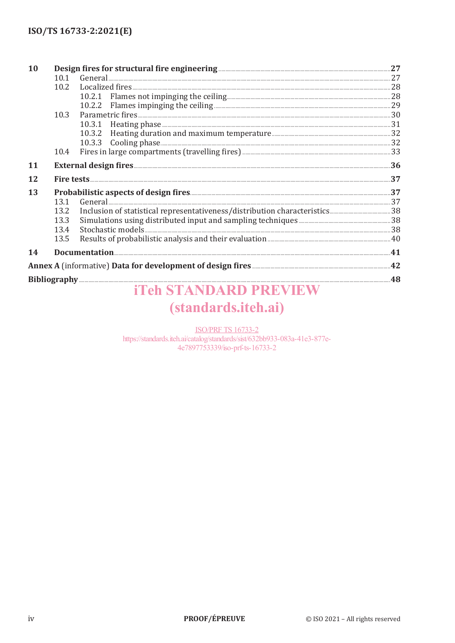| 10 | Design fires for structural fire engineering $27$ |                                                                                   |    |
|----|---------------------------------------------------|-----------------------------------------------------------------------------------|----|
|    | 10.1                                              |                                                                                   |    |
|    | 10.2                                              |                                                                                   |    |
|    |                                                   |                                                                                   |    |
|    |                                                   | Flames impinging the ceiling <b>Election</b> 29<br>10.2.2                         |    |
|    | 10.3                                              |                                                                                   |    |
|    |                                                   |                                                                                   |    |
|    |                                                   |                                                                                   |    |
|    |                                                   |                                                                                   |    |
|    | 10.4                                              |                                                                                   |    |
| 11 |                                                   | External design fires 36                                                          |    |
| 12 |                                                   |                                                                                   |    |
| 13 |                                                   | Probabilistic aspects of design fires                                             |    |
|    | 13.1                                              |                                                                                   |    |
|    | 13.2                                              |                                                                                   |    |
|    | 13.3                                              |                                                                                   |    |
|    | 13.4                                              |                                                                                   |    |
|    | 13.5                                              |                                                                                   |    |
| 14 |                                                   |                                                                                   |    |
|    |                                                   | Annex A (informative) Data for development of design fires <b>manufactures</b> 42 |    |
|    |                                                   |                                                                                   | 48 |
|    |                                                   | <b>Teh STANDARD PREVIEW</b>                                                       |    |

## (standards.iteh.ai)

**ISO/PRF TS 16733-2** 

https://standards.iteh.ai/catalog/standards/sist/632bb933-083a-41e3-877e-4e7897753339/iso-prf-ts-16733-2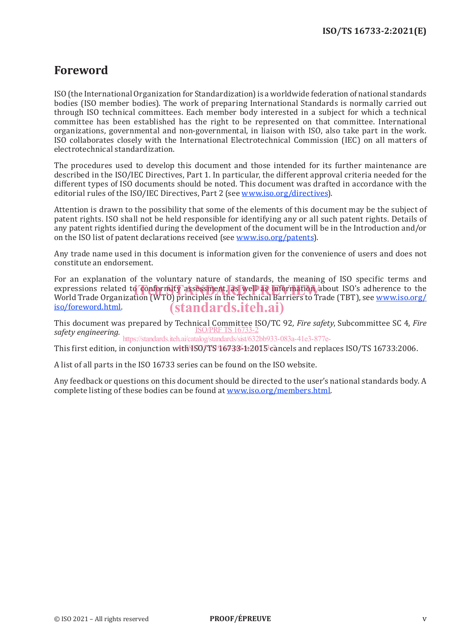### **Foreword**

ISO (the International Organization for Standardization) is a worldwide federation of national standards bodies (ISO member bodies). The work of preparing International Standards is normally carried out through ISO technical committees. Each member body interested in a subject for which a technical committee has been established has the right to be represented on that committee. International organizations, governmental and non-governmental, in liaison with ISO, also take part in the work. ISO collaborates closely with the International Electrotechnical Commission (IEC) on all matters of electrotechnical standardization.

The procedures used to develop this document and those intended for its further maintenance are described in the ISO/IEC Directives, Part 1. In particular, the different approval criteria needed for the different types of ISO documents should be noted. This document was drafted in accordance with the editorial rules of the ISO/IEC Directives, Part 2 (see www.iso.org/directives).

Attention is drawn to the possibility that some of the elements of this document may be the subject of patent rights. ISO shall not be held responsible for identifying any or all such patent rights. Details of any patent rights identified during the development of the document will be in the Introduction and/or on the ISO list of patent declarations received (see www.iso.org/patents).

Any trade name used in this document is information given for the convenience of users and does not constitute an endorsement.

For an explanation of the voluntary nature of standards, the meaning of ISO specific terms and expressions related to conformity assessment, as well as information about ISO's adherence to the experience or<br>World Trade Organization (WTO) principles in the Technical Barriers to Trade (TBT), see www.iso.org/ World Trade Organization (WTO) principles in the Technical Barriers to Trade (TBT), see www.iso.org/ iso/foreword.html. (standards.iteh.ai)

This document was prepared by Technical Committee ISO/TC 92*, Fire safety*, Subcommittee SC 4, *Fire safety engineering.* ISO/PRF TS 16733-2 https://standards.iteh.ai/catalog/standards/sist/632bb933-083a-41e3-877e-

This first edition, in conjunction w<del>ith ISO/TS 16733-1:2015 ca</del>ncels and replaces ISO/TS 16733:2006.

A list of all parts in the ISO 16733 series can be found on the ISO website.

Any feedback or questions on this document should be directed to the user's national standards body. A complete listing of these bodies can be found at www.iso.org/members.html.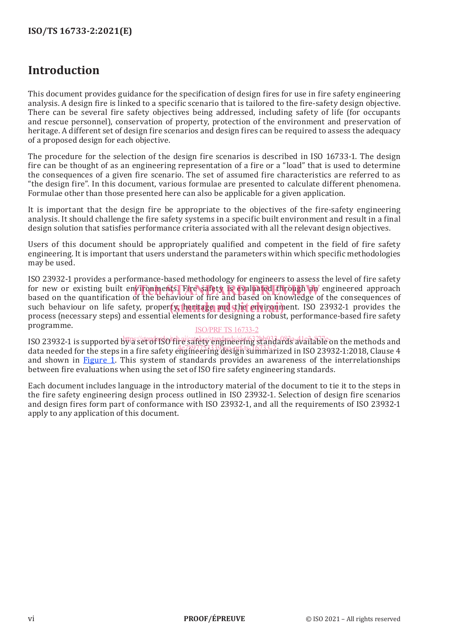## **Introduction**

This document provides guidance for the specification of design fires for use in fire safety engineering analysis. A design fire is linked to a specific scenario that is tailored to the fire-safety design objective. There can be several fire safety objectives being addressed, including safety of life (for occupants and rescue personnel), conservation of property, protection of the environment and preservation of heritage. A different set of design fire scenarios and design fires can be required to assess the adequacy of a proposed design for each objective.

The procedure for the selection of the design fire scenarios is described in ISO 16733-1. The design fire can be thought of as an engineering representation of a fire or a "load" that is used to determine the consequences of a given fire scenario. The set of assumed fire characteristics are referred to as "the design fire". In this document, various formulae are presented to calculate different phenomena. Formulae other than those presented here can also be applicable for a given application.

It is important that the design fire be appropriate to the objectives of the fire-safety engineering analysis. It should challenge the fire safety systems in a specific built environment and result in a final design solution that satisfies performance criteria associated with all the relevant design objectives.

Users of this document should be appropriately qualified and competent in the field of fire safety engineering. It is important that users understand the parameters within which specific methodologies may be used.

ISO 23932-1 provides a performance-based methodology for engineers to assess the level of fire safety for new or existing built environments. Fire safety is evaluated through an engineered approach for a series of the consequences of based on the quantification of the behaviour of fire and based on knowledge of the consequences of such behaviour on life safety, property, heritage and the environment. ISO 23932-1 provides the process (pecessary standards) and essential elements for decisining a reduct performance based fire safety. process (necessary steps) and essential elements for designing a robust, performance-based fire safety programme.

#### ISO/PRF TS 16733-2

ISO 23932-1 is supported by a set of ISO fire safety engance in 632bb933-083 available on the methods and not also also a monetated by a second to the strategic model in the annual contribution on the momentum and data needed for the steps in a fire safety engineering design summarized in ISO 23932-1:2018, Clause 4 and shown in Figure 1. This system of standards provides an awareness of the interrelationships between fire evaluations when using the set of ISO fire safety engineering standards.

Each document includes language in the introductory material of the document to tie it to the steps in the fire safety engineering design process outlined in ISO 23932-1. Selection of design fire scenarios and design fires form part of conformance with ISO 23932-1, and all the requirements of ISO 23932-1 apply to any application of this document.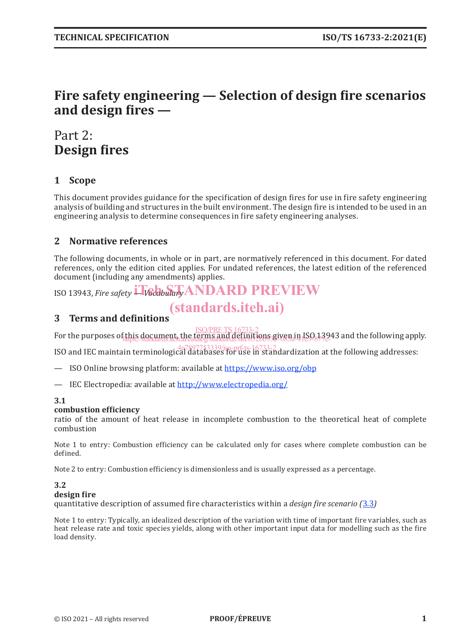## **Fire safety engineering — Selection of design fire scenarios and design fires —**

## Part 2: **Design fires**

#### **1 Scope**

This document provides guidance for the specification of design fires for use in fire safety engineering analysis of building and structures in the built environment. The design fire is intended to be used in an engineering analysis to determine consequences in fire safety engineering analyses.

#### **2 Normative references**

The following documents, in whole or in part, are normatively referenced in this document. For dated references, only the edition cited applies. For undated references, the latest edition of the referenced document (including any amendments) applies.

ISO 13943, *Fire safety LVocabulary* ANDARD PREVIEW

## (standards.iteh.ai)

#### **3 Terms and definitions**

For the purposes of this document, the terms and definitions given in ISO 13943 and the following apply. ISO/PRF TS 16733-2 https://standards.iteh.ai/catalog/standards/sist/632bb933-083a-41e3-877e-

ISO and IEC maintain terminological databases for use in standardization at the following addresses:

— ISO Online browsing platform: available at https://www.iso.org/obp

— IEC Electropedia: available at http://www.electropedia.org/

#### **3.1**

#### **combustion efficiency**

ratio of the amount of heat release in incomplete combustion to the theoretical heat of complete combustion

Note 1 to entry: Combustion efficiency can be calculated only for cases where complete combustion can be defined.

Note 2 to entry: Combustion efficiency is dimensionless and is usually expressed as a percentage.

#### **3.2**

**design fire**

quantitative description of assumed fire characteristics within a *design fire scenario (*3.3*)*

Note 1 to entry: Typically, an idealized description of the variation with time of important fire variables, such as heat release rate and toxic species yields, along with other important input data for modelling such as the fire load density.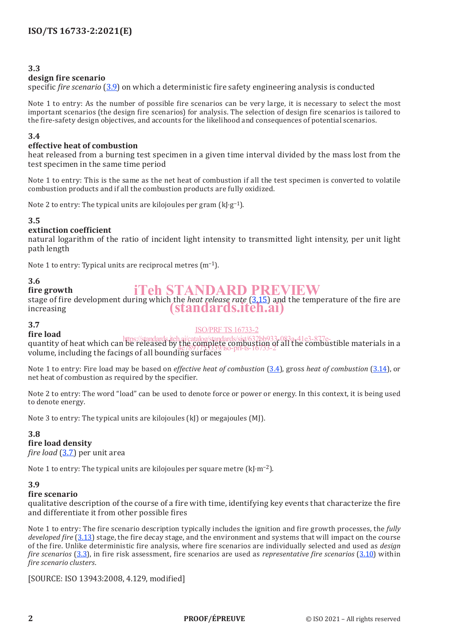#### **3.3**

#### **design fire scenario**

specific *fire scenario* (3.9) on which a deterministic fire safety engineering analysis is conducted

Note 1 to entry: As the number of possible fire scenarios can be very large, it is necessary to select the most important scenarios (the design fire scenarios) for analysis. The selection of design fire scenarios is tailored to the fire-safety design objectives, and accounts for the likelihood and consequences of potential scenarios.

#### **3.4**

#### **effective heat of combustion**

heat released from a burning test specimen in a given time interval divided by the mass lost from the test specimen in the same time period

Note 1 to entry: This is the same as the net heat of combustion if all the test specimen is converted to volatile combustion products and if all the combustion products are fully oxidized.

Note 2 to entry: The typical units are kilojoules per gram  $(k]{\cdot}g^{-1}$ .

#### **3.5**

#### **extinction coefficient**

natural logarithm of the ratio of incident light intensity to transmitted light intensity, per unit light path length

Note 1 to entry: Typical units are reciprocal metres (m−1).

#### **3.6**

#### **fire growth** iTeh STANDARD PREVIEW

stage of fire development during which the *heat release rate* (3.15) and the temperature of the fire are increasing (standards.iteh.ai)

#### **3.7**

#### ISO/PRF TS 16733-2

**fire load** quantity of heat which can be released by the complete combustion of all the combustible materials in a volume, including the facings of all bounding surfaces https://standards.iteh.ai/catalog/standards/sist/632bb933-083a-41e3-877e-4e7897753339/iso-prf-ts-16733-2

Note 1 to entry: Fire load may be based on *effective heat of combustion* (3.4), gross *heat of combustion* (3.14), or net heat of combustion as required by the specifier.

Note 2 to entry: The word "load" can be used to denote force or power or energy. In this context, it is being used to denote energy.

Note 3 to entry: The typical units are kilojoules (kJ) or megajoules (MJ).

#### **3.8**

#### **fire load density**

*fire load* (3.7) per unit area

Note 1 to entry: The typical units are kilojoules per square metre (kJ⋅m−2).

#### **3.9**

#### **fire scenario**

qualitative description of the course of a fire with time, identifying key events that characterize the fire and differentiate it from other possible fires

Note 1 to entry: The fire scenario description typically includes the ignition and fire growth processes, the *fully developed fire* (3.13) stage, the fire decay stage, and the environment and systems that will impact on the course of the fire. Unlike deterministic fire analysis, where fire scenarios are individually selected and used as *design fire scenarios* (3.3), in fire risk assessment, fire scenarios are used as *representative fire scenarios* (3.10) within *fire scenario clusters*.

[SOURCE: ISO 13943:2008, 4.129, modified]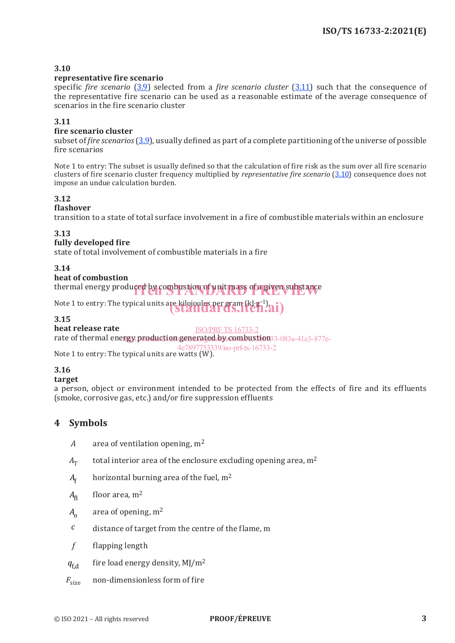#### **3.10**

#### **representative fire scenario**

specific *fire scenario* (3.9) selected from a *fire scenario cluster* (3.11) such that the consequence of the representative fire scenario can be used as a reasonable estimate of the average consequence of scenarios in the fire scenario cluster

#### **3.11**

#### **fire scenario cluster**

subset of *fire scenarios* (3.9), usually defined as part of a complete partitioning of the universe of possible fire scenarios

Note 1 to entry: The subset is usually defined so that the calculation of fire risk as the sum over all fire scenario clusters of fire scenario cluster frequency multiplied by *representative fire scenario* (3.10) consequence does not impose an undue calculation burden.

#### **3.12**

#### **flashover**

transition to a state of total surface involvement in a fire of combustible materials within an enclosure

#### **3.13**

#### **fully developed fire**

state of total involvement of combustible materials in a fire

#### **3.14**

#### **heat of combustion**

thermal energy produced by combustion of unit mass of a given substance

Note 1 to entry: The typical units are kilojoules per gram (kJ⋅g−1).<br>Standards.iten.ai)

#### **3.15**

#### **heat release rate**

rate of thermal energy production generated by combustion 3-083a-41e3-877e-ISO/PRF TS 16733-2

4e7897753339/iso-prf-ts-16733-2

Note 1 to entry: The typical units are watts  $(W)$ .

#### **3.16**

#### **target**

a person, object or environment intended to be protected from the effects of fire and its effluents (smoke, corrosive gas, etc.) and/or fire suppression effluents

#### **4 Symbols**

- *A* area of ventilation opening, m<sup>2</sup>
- $A<sub>T</sub>$  total interior area of the enclosure excluding opening area,  $m<sup>2</sup>$
- $A_f$  horizontal burning area of the fuel, m<sup>2</sup>
- $A_{\rm fl}$  floor area, m<sup>2</sup>
- *A*<sub>o</sub> area of opening, m<sup>2</sup>
- *<sup>c</sup>* distance of target from the centre of the flame, m
- *f* flapping length
- $q_{\text{fd}}$  fire load energy density, MJ/m<sup>2</sup>
- *F<sub>size</sub>* non-dimensionless form of fire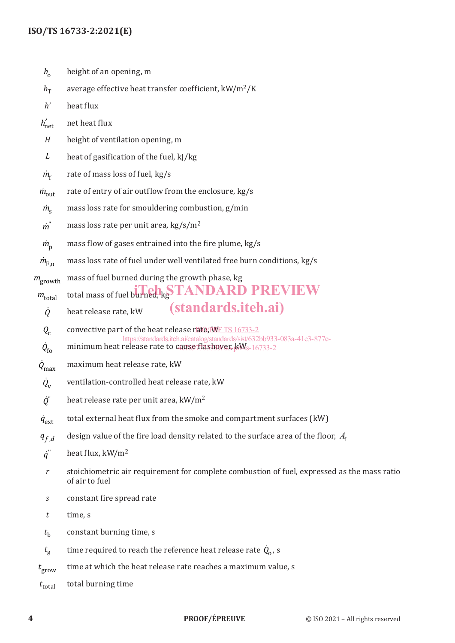#### **ISO/TS 16733-2:2021(E)**

| $h_{\alpha}$           | height of an opening, m                                                                                                                            |
|------------------------|----------------------------------------------------------------------------------------------------------------------------------------------------|
| $h_{\rm T}$            | average effective heat transfer coefficient, $kW/m^2/K$                                                                                            |
| h'                     | heat flux                                                                                                                                          |
| $h'_{\text{net}}$      | net heat flux                                                                                                                                      |
| H                      | height of ventilation opening, m                                                                                                                   |
| L                      | heat of gasification of the fuel, kJ/kg                                                                                                            |
| m <sub>f</sub>         | rate of mass loss of fuel, kg/s                                                                                                                    |
| $\dot{m}_{\text{out}}$ | rate of entry of air outflow from the enclosure, kg/s                                                                                              |
| $\dot{m}_{\rm s}$      | mass loss rate for smouldering combustion, g/min                                                                                                   |
| $\dot{m}$ "            | mass loss rate per unit area, $\text{kg/s/m}^2$                                                                                                    |
| $m_{\rm p}$            | mass flow of gases entrained into the fire plume, kg/s                                                                                             |
| $\dot{m}_{\rm F,u}$    | mass loss rate of fuel under well ventilated free burn conditions, kg/s                                                                            |
| $m_{\rm growth}$       | mass of fuel burned during the growth phase, kg                                                                                                    |
| $m_{\text{total}}$     | total mass of fuel burned, kg TANDARD PREVIEW                                                                                                      |
| Q                      | <i>(standards.iteh.ai)</i><br>heat release rate, kW                                                                                                |
| $Q_c$                  | convective part of the heat release rate/WF TS 16733-2                                                                                             |
| $Q_{\rm fo}$           | https://standards.iteh.ai/catalog/standards/sist/632bb933-083a-41e3-877e-<br>minimum heat release rate to cause flashover, kW <sub>s-16733-2</sub> |
| $Q_{\text{max}}$       | maximum heat release rate, kW                                                                                                                      |
| $\dot{Q}_{\rm v}$      | ventilation-controlled heat release rate, kW                                                                                                       |
| $\dot{Q}^{''}$         | heat release rate per unit area, kW/m <sup>2</sup>                                                                                                 |
| $\dot{q}_{\rm ext}$    | total external heat flux from the smoke and compartment surfaces (kW)                                                                              |
| $q_{f,d}$              | design value of the fire load density related to the surface area of the floor, $A_f$                                                              |
| $\dot{q}$ "            | heat flux, kW/m <sup>2</sup>                                                                                                                       |
| $\mathfrak{r}$         | stoichiometric air requirement for complete combustion of fuel, expressed as the mass ratio<br>of air to fuel                                      |
| S                      | constant fire spread rate                                                                                                                          |
| t                      | time, s                                                                                                                                            |
| $t_{\rm b}$            | constant burning time, s                                                                                                                           |
| $t_{\rm g}$            | time required to reach the reference heat release rate $\dot{Q}_{0}$ , s                                                                           |
| $t_{\rm grow}$         | time at which the heat release rate reaches a maximum value, s                                                                                     |
| $t_{\text{total}}$     | total burning time                                                                                                                                 |
|                        |                                                                                                                                                    |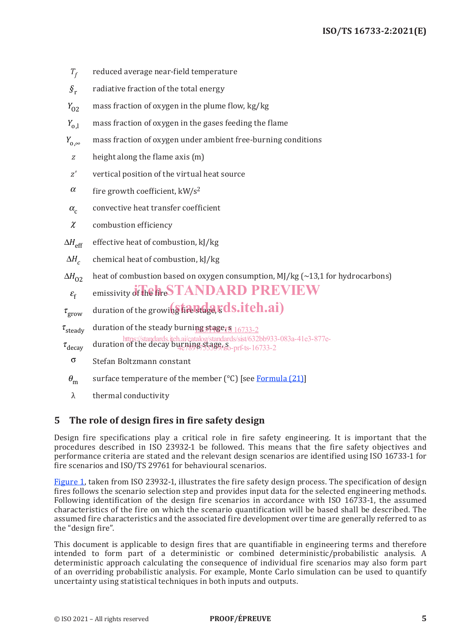- *Tf* reduced average near-field temperature
- *§*<sup>r</sup> radiative fraction of the total energy
- *Y*<sub>02</sub> mass fraction of oxygen in the plume flow, kg/kg
- *Y*<sub>o</sub> l, mass fraction of oxygen in the gases feeding the flame
- $Y_{0}$   $\infty$  mass fraction of oxygen under ambient free-burning conditions
- *z* height along the flame axis (m)
- *z'* vertical position of the virtual heat source
- $\alpha$  fire growth coefficient, kW/s<sup>2</sup>
- $\alpha_c$  convective heat transfer coefficient
- $\chi$  combustion efficiency
- ∆*H*<sub>eff</sub> effective heat of combustion, kJ/kg
- $ΔH<sub>c</sub>$  chemical heat of combustion, kJ/kg
- $\Delta H_{O2}$  heat of combustion based on oxygen consumption, MJ/kg (~13,1 for hydrocarbons)
	- $\varepsilon_{\rm f}$  emissivity of the fire  $\bf STANDARD\ PREVIEW$
- $\tau_{\rm grow}$  duration of the growing fire stage, sds.iteh.ai)
- $\tau_{\text{steady}}$  duration of the steady burning stage,  $\frac{16733-2}{2}$
- $\tau_{\rm decay}$  duration of the decay burning stage, s https://standards.iteh.ai/catalog/standards/sist/632bb933-083a-41e3-877e-4e7897753339/iso-prf-ts-16733-2
- <sup>σ</sup> Stefan Boltzmann constant
- $\theta_{\rm m}$  surface temperature of the member (°C) [see Formula (21)]
- λ thermal conductivity

#### **5 The role of design fires in fire safety design**

Design fire specifications play a critical role in fire safety engineering. It is important that the procedures described in ISO 23932-1 be followed. This means that the fire safety objectives and performance criteria are stated and the relevant design scenarios are identified using ISO 16733-1 for fire scenarios and ISO/TS 29761 for behavioural scenarios.

Figure 1, taken from ISO 23932-1, illustrates the fire safety design process. The specification of design fires follows the scenario selection step and provides input data for the selected engineering methods. Following identification of the design fire scenarios in accordance with ISO 16733-1, the assumed characteristics of the fire on which the scenario quantification will be based shall be described. The assumed fire characteristics and the associated fire development over time are generally referred to as the "design fire".

This document is applicable to design fires that are quantifiable in engineering terms and therefore intended to form part of a deterministic or combined deterministic/probabilistic analysis. A deterministic approach calculating the consequence of individual fire scenarios may also form part of an overriding probabilistic analysis. For example, Monte Carlo simulation can be used to quantify uncertainty using statistical techniques in both inputs and outputs.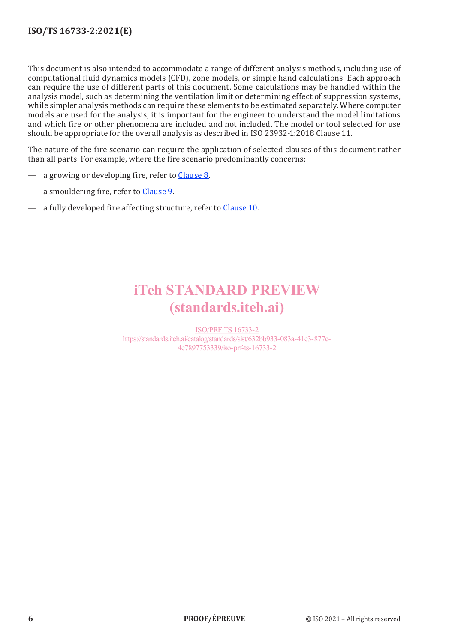#### **ISO/TS 16733-2:2021(E)**

This document is also intended to accommodate a range of different analysis methods, including use of computational fluid dynamics models (CFD), zone models, or simple hand calculations. Each approach can require the use of different parts of this document. Some calculations may be handled within the analysis model, such as determining the ventilation limit or determining effect of suppression systems, while simpler analysis methods can require these elements to be estimated separately. Where computer models are used for the analysis, it is important for the engineer to understand the model limitations and which fire or other phenomena are included and not included. The model or tool selected for use should be appropriate for the overall analysis as described in ISO 23932-1:2018 Clause 11.

The nature of the fire scenario can require the application of selected clauses of this document rather than all parts. For example, where the fire scenario predominantly concerns:

- a growing or developing fire, refer to Clause 8.
- a smouldering fire, refer to Clause 9.
- a fully developed fire affecting structure, refer to **Clause 10**.

## iTeh STANDARD PREVIEW (standards.iteh.ai)

ISO/PRF TS 16733-2 https://standards.iteh.ai/catalog/standards/sist/632bb933-083a-41e3-877e-4e7897753339/iso-prf-ts-16733-2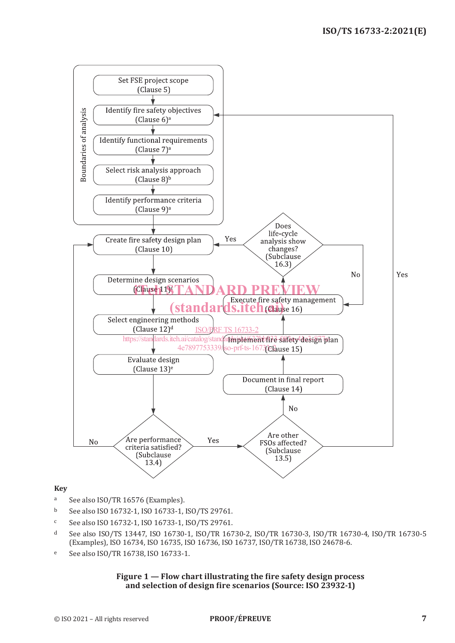

#### **Key**

- <sup>a</sup> See also ISO/TR 16576 (Examples).
- <sup>b</sup> See also ISO 16732-1, ISO 16733-1, ISO/TS 29761.
- <sup>c</sup> See also ISO 16732-1, ISO 16733-1, ISO/TS 29761.
- <sup>d</sup> See also ISO/TS 13447, ISO 16730-1, ISO/TR 16730-2, ISO/TR 16730-3, ISO/TR 16730-4, ISO/TR 16730-5 (Examples), ISO 16734, ISO 16735, ISO 16736, ISO 16737, ISO/TR 16738, ISO 24678-6.
- <sup>e</sup> See also ISO/TR 16738, ISO 16733-1.

#### **Figure 1 — Flow chart illustrating the fire safety design process and selection of design fire scenarios (Source: ISO 23932-1)**

#### **PROOF/ÉPREUVE**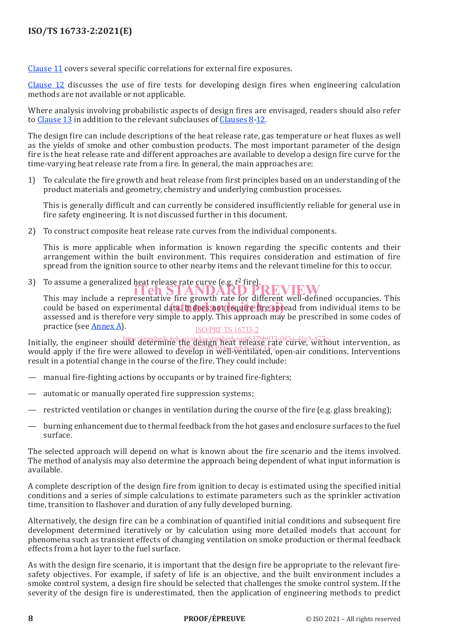#### **ISO/TS 16733-2:2021(E)**

Clause 11 covers several specific correlations for external fire exposures.

Clause 12 discusses the use of fire tests for developing design fires when engineering calculation methods are not available or not applicable.

Where analysis involving probabilistic aspects of design fires are envisaged, readers should also refer to Clause 13 in addition to the relevant subclauses of Clauses 8-12.

The design fire can include descriptions of the heat release rate, gas temperature or heat fluxes as well as the yields of smoke and other combustion products. The most important parameter of the design fire is the heat release rate and different approaches are available to develop a design fire curve for the time-varying heat release rate from a fire. In general, the main approaches are:

1) To calculate the fire growth and heat release from first principles based on an understanding of the product materials and geometry, chemistry and underlying combustion processes.

This is generally difficult and can currently be considered insufficiently reliable for general use in fire safety engineering. It is not discussed further in this document.

2) To construct composite heat release rate curves from the individual components.

This is more applicable when information is known regarding the specific contents and their arrangement within the built environment. This requires consideration and estimation of fire spread from the ignition source to other nearby items and the relevant timeline for this to occur.

3) To assume a generalized heat release rate curve (e.g. *t*2 fire).

This may include a representative fire growth rate for different well-defined occupancies. This could be based on experimental data. In does not rate for uncern wen defined occupancies. This could be based on experimental data. In does not require fire spread from individual items to be assessed and is therefore very simple to apply. This approach may be prescribed in some codes of practice (see Annex A). ISO/PRF TS 16733-2

Initially, the engineer should determine the glosing design heat release rate curve, without intervention, as<br>Initially, the engineer should determine the design heat release rate curve, without intervention, as metany, the engineer should determine the companion of the carve, while mervention, as would apply if the fire were allowed to develop in well-ventilated, open-air conditions. Interventions result in a potential change in the course of the fire. They could include:

- manual fire-fighting actions by occupants or by trained fire-fighters;
- automatic or manually operated fire suppression systems;
- restricted ventilation or changes in ventilation during the course of the fire (e.g. glass breaking);
- burning enhancement due to thermal feedback from the hot gases and enclosure surfaces to the fuel surface.

The selected approach will depend on what is known about the fire scenario and the items involved. The method of analysis may also determine the approach being dependent of what input information is available.

A complete description of the design fire from ignition to decay is estimated using the specified initial conditions and a series of simple calculations to estimate parameters such as the sprinkler activation time, transition to flashover and duration of any fully developed burning.

Alternatively, the design fire can be a combination of quantified initial conditions and subsequent fire development determined iteratively or by calculation using more detailed models that account for phenomena such as transient effects of changing ventilation on smoke production or thermal feedback effects from a hot layer to the fuel surface.

As with the design fire scenario, it is important that the design fire be appropriate to the relevant firesafety objectives. For example, if safety of life is an objective, and the built environment includes a smoke control system, a design fire should be selected that challenges the smoke control system. If the severity of the design fire is underestimated, then the application of engineering methods to predict

#### **PROOF/ÉPREUVE**